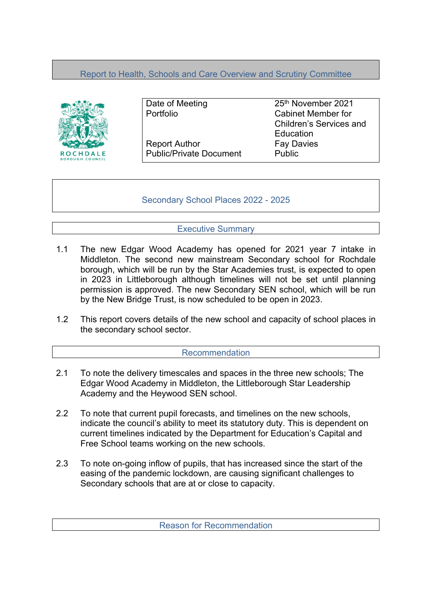# Report to Health, Schools and Care Overview and Scrutiny Committee



Report Author Fay Davies Public/Private Document Public

Date of Meeting 25<sup>th</sup> November 2021 Portfolio Cabinet Member for Children's Services and **Education** 

Secondary School Places 2022 - 2025

## Executive Summary

- 1.1 The new Edgar Wood Academy has opened for 2021 year 7 intake in Middleton. The second new mainstream Secondary school for Rochdale borough, which will be run by the Star Academies trust, is expected to open in 2023 in Littleborough although timelines will not be set until planning permission is approved. The new Secondary SEN school, which will be run by the New Bridge Trust, is now scheduled to be open in 2023.
- 1.2 This report covers details of the new school and capacity of school places in the secondary school sector.

### Recommendation

- 2.1 To note the delivery timescales and spaces in the three new schools; The Edgar Wood Academy in Middleton, the Littleborough Star Leadership Academy and the Heywood SEN school.
- 2.2 To note that current pupil forecasts, and timelines on the new schools, indicate the council's ability to meet its statutory duty. This is dependent on current timelines indicated by the Department for Education's Capital and Free School teams working on the new schools.
- 2.3 To note on-going inflow of pupils, that has increased since the start of the easing of the pandemic lockdown, are causing significant challenges to Secondary schools that are at or close to capacity.

Reason for Recommendation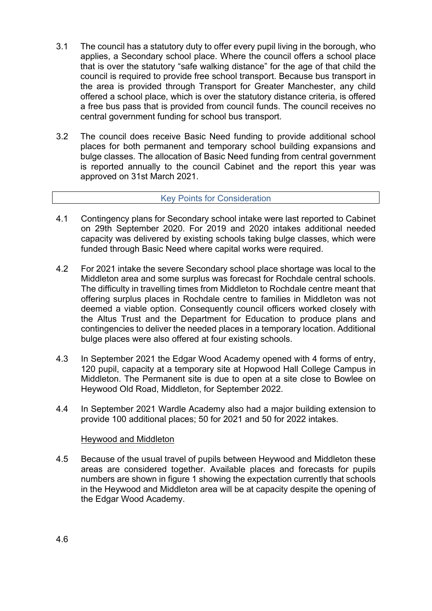- 3.1 The council has a statutory duty to offer every pupil living in the borough, who applies, a Secondary school place. Where the council offers a school place that is over the statutory "safe walking distance" for the age of that child the council is required to provide free school transport. Because bus transport in the area is provided through Transport for Greater Manchester, any child offered a school place, which is over the statutory distance criteria, is offered a free bus pass that is provided from council funds. The council receives no central government funding for school bus transport.
- 3.2 The council does receive Basic Need funding to provide additional school places for both permanent and temporary school building expansions and bulge classes. The allocation of Basic Need funding from central government is reported annually to the council Cabinet and the report this year was approved on 31st March 2021.

### Key Points for Consideration

- 4.1 Contingency plans for Secondary school intake were last reported to Cabinet on 29th September 2020. For 2019 and 2020 intakes additional needed capacity was delivered by existing schools taking bulge classes, which were funded through Basic Need where capital works were required.
- 4.2 For 2021 intake the severe Secondary school place shortage was local to the Middleton area and some surplus was forecast for Rochdale central schools. The difficulty in travelling times from Middleton to Rochdale centre meant that offering surplus places in Rochdale centre to families in Middleton was not deemed a viable option. Consequently council officers worked closely with the Altus Trust and the Department for Education to produce plans and contingencies to deliver the needed places in a temporary location. Additional bulge places were also offered at four existing schools.
- 4.3 In September 2021 the Edgar Wood Academy opened with 4 forms of entry, 120 pupil, capacity at a temporary site at Hopwood Hall College Campus in Middleton. The Permanent site is due to open at a site close to Bowlee on Heywood Old Road, Middleton, for September 2022.
- 4.4 In September 2021 Wardle Academy also had a major building extension to provide 100 additional places; 50 for 2021 and 50 for 2022 intakes.

### Heywood and Middleton

4.5 Because of the usual travel of pupils between Heywood and Middleton these areas are considered together. Available places and forecasts for pupils numbers are shown in figure 1 showing the expectation currently that schools in the Heywood and Middleton area will be at capacity despite the opening of the Edgar Wood Academy.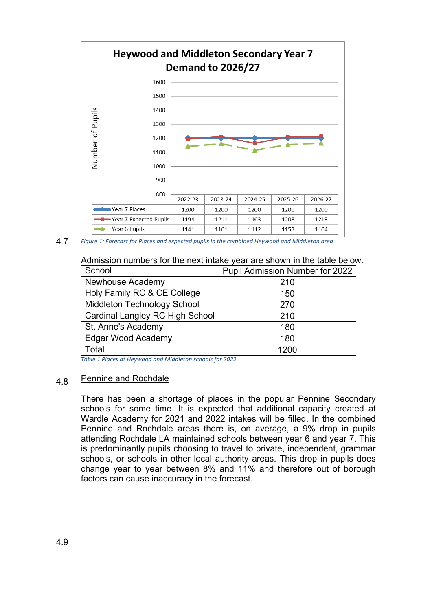

4.7 *Figure 1: Forecast for Places and expected pupils in the combined Heywood and Middleton area*

Admission numbers for the next intake year are shown in the table below.

| School                                 | Pupil Admission Number for 2022 |
|----------------------------------------|---------------------------------|
| Newhouse Academy                       | 210                             |
| Holy Family RC & CE College            | 150                             |
| <b>Middleton Technology School</b>     | 270                             |
| <b>Cardinal Langley RC High School</b> | 210                             |
| St. Anne's Academy                     | 180                             |
| Edgar Wood Academy                     | 180                             |
| Total                                  | 1200                            |

*Table 1 Places at Heywood and Middleton schools for 2022*

#### 4.8 Pennine and Rochdale

There has been a shortage of places in the popular Pennine Secondary schools for some time. It is expected that additional capacity created at Wardle Academy for 2021 and 2022 intakes will be filled. In the combined Pennine and Rochdale areas there is, on average, a 9% drop in pupils attending Rochdale LA maintained schools between year 6 and year 7. This is predominantly pupils choosing to travel to private, independent, grammar schools, or schools in other local authority areas. This drop in pupils does change year to year between 8% and 11% and therefore out of borough factors can cause inaccuracy in the forecast.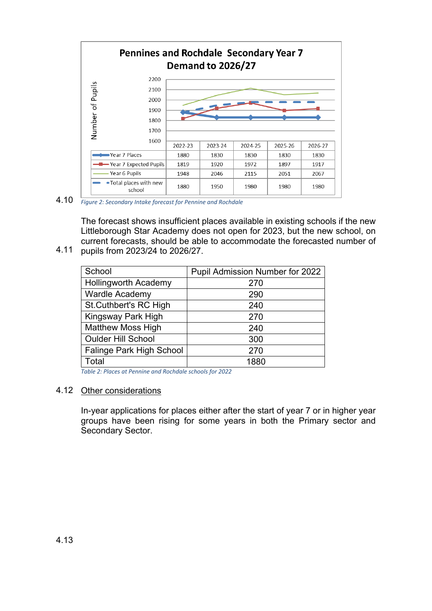

4.10 *Figure 2: Secondary Intake forecast for Pennine and Rochdale*

4.11 The forecast shows insufficient places available in existing schools if the new Littleborough Star Academy does not open for 2023, but the new school, on current forecasts, should be able to accommodate the forecasted number of pupils from 2023/24 to 2026/27.

| School                      | Pupil Admission Number for 2022 |
|-----------------------------|---------------------------------|
| <b>Hollingworth Academy</b> | 270                             |
| <b>Wardle Academy</b>       | 290                             |
| St.Cuthbert's RC High       | 240                             |
| Kingsway Park High          | 270                             |
| <b>Matthew Moss High</b>    | 240                             |
| <b>Oulder Hill School</b>   | 300                             |
| Falinge Park High School    | 270                             |
| Total                       | 1880                            |

*Table 2: Places at Pennine and Rochdale schools for 2022*

### 4.12 Other considerations

In-year applications for places either after the start of year 7 or in higher year groups have been rising for some years in both the Primary sector and Secondary Sector.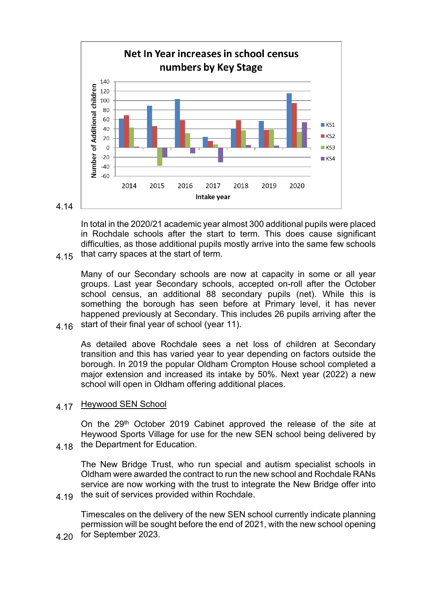

In total in the 2020/21 academic year almost 300 additional pupils were placed in Rochdale schools after the start to term. This does cause significant difficulties, as those additional pupils mostly arrive into the same few schools that carry spaces at the start of term.

4.16 Many of our Secondary schools are now at capacity in some or all year groups. Last year Secondary schools, accepted on-roll after the October school census, an additional 88 secondary pupils (net). While this is something the borough has seen before at Primary level, it has never happened previously at Secondary. This includes 26 pupils arriving after the start of their final year of school (year 11).

As detailed above Rochdale sees a net loss of children at Secondary transition and this has varied year to year depending on factors outside the borough. In 2019 the popular Oldham Crompton House school completed a major extension and increased its intake by 50%. Next year (2022) a new school will open in Oldham offering additional places.

4.17 Heywood SEN School

4.15

4.18 On the 29<sup>th</sup> October 2019 Cabinet approved the release of the site at Heywood Sports Village for use for the new SEN school being delivered by the Department for Education.

4.19 The New Bridge Trust, who run special and autism specialist schools in Oldham were awarded the contract to run the new school and Rochdale RANs service are now working with the trust to integrate the New Bridge offer into the suit of services provided within Rochdale.

Timescales on the delivery of the new SEN school currently indicate planning permission will be sought before the end of 2021, with the new school opening

4.20 for September 2023.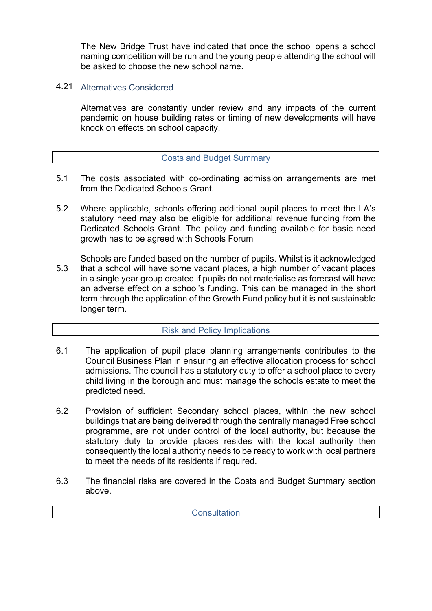The New Bridge Trust have indicated that once the school opens a school naming competition will be run and the young people attending the school will be asked to choose the new school name.

## 4.21 Alternatives Considered

Alternatives are constantly under review and any impacts of the current pandemic on house building rates or timing of new developments will have knock on effects on school capacity.

## Costs and Budget Summary

- 5.1 The costs associated with co-ordinating admission arrangements are met from the Dedicated Schools Grant.
- 5.2 Where applicable, schools offering additional pupil places to meet the LA's statutory need may also be eligible for additional revenue funding from the Dedicated Schools Grant. The policy and funding available for basic need growth has to be agreed with Schools Forum
- 5.3 Schools are funded based on the number of pupils. Whilst is it acknowledged that a school will have some vacant places, a high number of vacant places in a single year group created if pupils do not materialise as forecast will have an adverse effect on a school's funding. This can be managed in the short term through the application of the Growth Fund policy but it is not sustainable longer term.

### Risk and Policy Implications

- 6.1 The application of pupil place planning arrangements contributes to the Council Business Plan in ensuring an effective allocation process for school admissions. The council has a statutory duty to offer a school place to every child living in the borough and must manage the schools estate to meet the predicted need.
- 6.2 Provision of sufficient Secondary school places, within the new school buildings that are being delivered through the centrally managed Free school programme, are not under control of the local authority, but because the statutory duty to provide places resides with the local authority then consequently the local authority needs to be ready to work with local partners to meet the needs of its residents if required.
- 6.3 The financial risks are covered in the Costs and Budget Summary section above.

**Consultation**